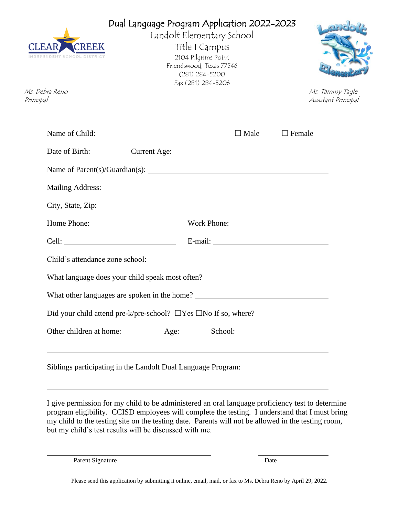| <b>CLEAR</b><br>CREEK<br>ENT SCHOOL DI<br>Ms. Debra Reno<br>Principal | Title I Campus<br>2104 Pilgrims Point<br>Friendswood, Texas 77546<br>$(281)$ 284-5200<br>Fax (281) 284-5206 | Dual Language Program Application 2022-2023<br>Landolt Elementary School                                                                                                                                                       |               | Ms. Tammy Tagle<br>Assistant Principal |
|-----------------------------------------------------------------------|-------------------------------------------------------------------------------------------------------------|--------------------------------------------------------------------------------------------------------------------------------------------------------------------------------------------------------------------------------|---------------|----------------------------------------|
| Name of Child:                                                        |                                                                                                             | $\Box$ Male                                                                                                                                                                                                                    | $\Box$ Female |                                        |
| Date of Birth: Current Age: ________                                  |                                                                                                             |                                                                                                                                                                                                                                |               |                                        |
|                                                                       |                                                                                                             |                                                                                                                                                                                                                                |               |                                        |
|                                                                       |                                                                                                             | Mailing Address: National Address: National Address: National Address: National Address: National Address: National Address: National Address: National Address: National Address: National Address: National Address: Nationa |               |                                        |
|                                                                       |                                                                                                             | City, State, Zip: 2008. Experience of the State of Table 2014.                                                                                                                                                                 |               |                                        |
|                                                                       |                                                                                                             |                                                                                                                                                                                                                                |               |                                        |
|                                                                       |                                                                                                             |                                                                                                                                                                                                                                |               |                                        |
|                                                                       |                                                                                                             |                                                                                                                                                                                                                                |               |                                        |
|                                                                       |                                                                                                             | What language does your child speak most often? ________________________________                                                                                                                                               |               |                                        |
|                                                                       |                                                                                                             |                                                                                                                                                                                                                                |               |                                        |
|                                                                       |                                                                                                             | Did your child attend pre-k/pre-school? $\Box$ Yes $\Box$ No If so, where?                                                                                                                                                     |               |                                        |
| Other children at home:                                               | Age:                                                                                                        | School:                                                                                                                                                                                                                        |               |                                        |
| Siblings participating in the Landolt Dual Language Program:          |                                                                                                             |                                                                                                                                                                                                                                |               |                                        |

I give permission for my child to be administered an oral language proficiency test to determine program eligibility. CCISD employees will complete the testing. I understand that I must bring my child to the testing site on the testing date. Parents will not be allowed in the testing room, but my child's test results will be discussed with me.

Parent Signature Date